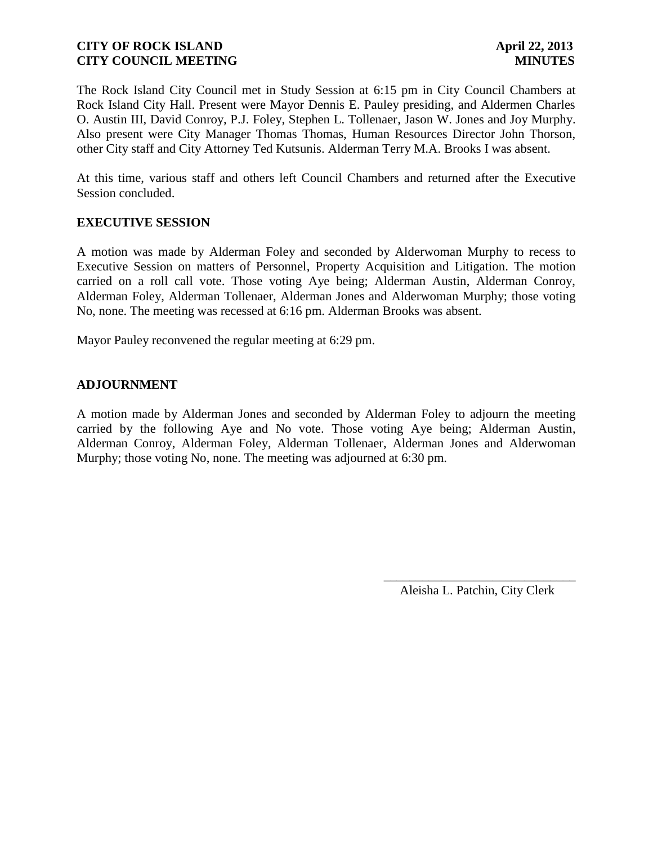The Rock Island City Council met in Study Session at 6:15 pm in City Council Chambers at Rock Island City Hall. Present were Mayor Dennis E. Pauley presiding, and Aldermen Charles O. Austin III, David Conroy, P.J. Foley, Stephen L. Tollenaer, Jason W. Jones and Joy Murphy. Also present were City Manager Thomas Thomas, Human Resources Director John Thorson, other City staff and City Attorney Ted Kutsunis. Alderman Terry M.A. Brooks I was absent.

At this time, various staff and others left Council Chambers and returned after the Executive Session concluded.

# **EXECUTIVE SESSION**

A motion was made by Alderman Foley and seconded by Alderwoman Murphy to recess to Executive Session on matters of Personnel, Property Acquisition and Litigation. The motion carried on a roll call vote. Those voting Aye being; Alderman Austin, Alderman Conroy, Alderman Foley, Alderman Tollenaer, Alderman Jones and Alderwoman Murphy; those voting No, none. The meeting was recessed at 6:16 pm. Alderman Brooks was absent.

Mayor Pauley reconvened the regular meeting at 6:29 pm.

## **ADJOURNMENT**

A motion made by Alderman Jones and seconded by Alderman Foley to adjourn the meeting carried by the following Aye and No vote. Those voting Aye being; Alderman Austin, Alderman Conroy, Alderman Foley, Alderman Tollenaer, Alderman Jones and Alderwoman Murphy; those voting No, none. The meeting was adjourned at 6:30 pm.

> \_\_\_\_\_\_\_\_\_\_\_\_\_\_\_\_\_\_\_\_\_\_\_\_\_\_\_\_\_\_ Aleisha L. Patchin, City Clerk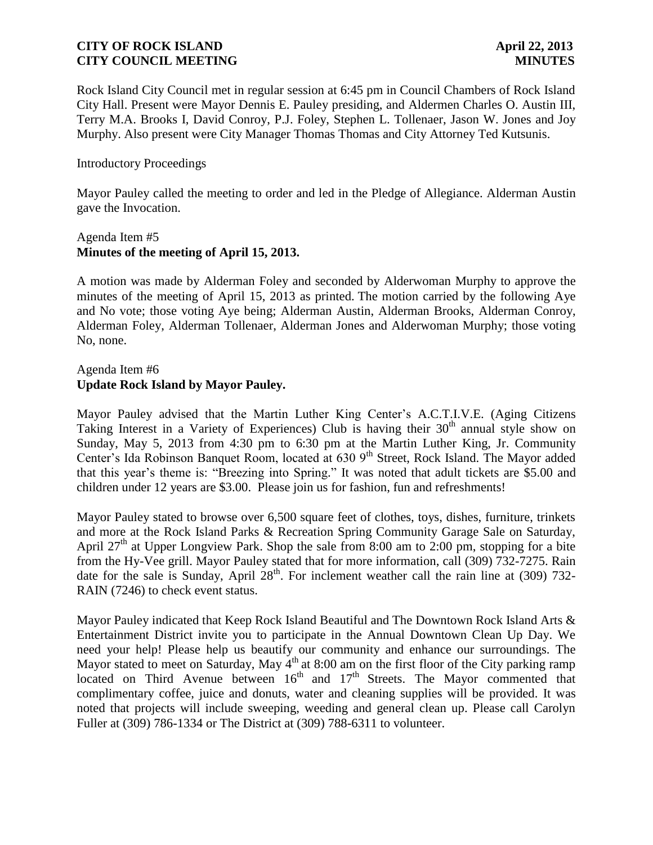Rock Island City Council met in regular session at 6:45 pm in Council Chambers of Rock Island City Hall. Present were Mayor Dennis E. Pauley presiding, and Aldermen Charles O. Austin III, Terry M.A. Brooks I, David Conroy, P.J. Foley, Stephen L. Tollenaer, Jason W. Jones and Joy Murphy. Also present were City Manager Thomas Thomas and City Attorney Ted Kutsunis.

#### Introductory Proceedings

Mayor Pauley called the meeting to order and led in the Pledge of Allegiance. Alderman Austin gave the Invocation.

#### Agenda Item #5 **Minutes of the meeting of April 15, 2013.**

A motion was made by Alderman Foley and seconded by Alderwoman Murphy to approve the minutes of the meeting of April 15, 2013 as printed. The motion carried by the following Aye and No vote; those voting Aye being; Alderman Austin, Alderman Brooks, Alderman Conroy, Alderman Foley, Alderman Tollenaer, Alderman Jones and Alderwoman Murphy; those voting No, none.

# Agenda Item #6 **Update Rock Island by Mayor Pauley.**

Mayor Pauley advised that the Martin Luther King Center's A.C.T.I.V.E. (Aging Citizens Taking Interest in a Variety of Experiences) Club is having their  $30<sup>th</sup>$  annual style show on Sunday, May 5, 2013 from 4:30 pm to 6:30 pm at the Martin Luther King, Jr. Community Center's Ida Robinson Banquet Room, located at 630 9<sup>th</sup> Street, Rock Island. The Mayor added that this year's theme is: "Breezing into Spring." It was noted that adult tickets are \$5.00 and children under 12 years are \$3.00. Please join us for fashion, fun and refreshments!

Mayor Pauley stated to browse over 6,500 square feet of clothes, toys, dishes, furniture, trinkets and more at the Rock Island Parks & Recreation Spring Community Garage Sale on Saturday, April 27<sup>th</sup> at Upper Longview Park. Shop the sale from 8:00 am to 2:00 pm, stopping for a bite from the Hy-Vee grill. Mayor Pauley stated that for more information, call (309) 732-7275. Rain date for the sale is Sunday, April  $28<sup>th</sup>$ . For inclement weather call the rain line at (309) 732-RAIN (7246) to check event status.

Mayor Pauley indicated that Keep Rock Island Beautiful and The Downtown Rock Island Arts & Entertainment District invite you to participate in the Annual Downtown Clean Up Day. We need your help! Please help us beautify our community and enhance our surroundings. The Mayor stated to meet on Saturday, May  $4<sup>th</sup>$  at 8:00 am on the first floor of the City parking ramp located on Third Avenue between  $16<sup>th</sup>$  and  $17<sup>th</sup>$  Streets. The Mayor commented that complimentary coffee, juice and donuts, water and cleaning supplies will be provided. It was noted that projects will include sweeping, weeding and general clean up. Please call Carolyn Fuller at (309) 786-1334 or The District at (309) 788-6311 to volunteer.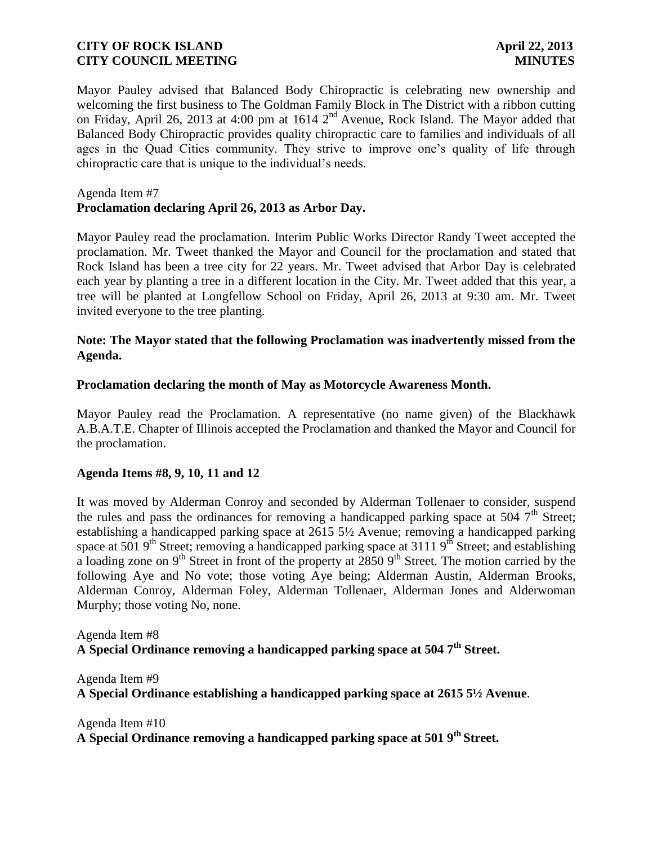Mayor Pauley advised that Balanced Body Chiropractic is celebrating new ownership and welcoming the first business to The Goldman Family Block in The District with a ribbon cutting on Friday, April 26, 2013 at 4:00 pm at 1614 2<sup>nd</sup> Avenue, Rock Island. The Mayor added that Balanced Body Chiropractic provides quality chiropractic care to families and individuals of all ages in the Quad Cities community. They strive to improve one's quality of life through chiropractic care that is unique to the individual's needs.

#### Agenda Item #7

## **Proclamation declaring April 26, 2013 as Arbor Day.**

Mayor Pauley read the proclamation. Interim Public Works Director Randy Tweet accepted the proclamation. Mr. Tweet thanked the Mayor and Council for the proclamation and stated that Rock Island has been a tree city for 22 years. Mr. Tweet advised that Arbor Day is celebrated each year by planting a tree in a different location in the City. Mr. Tweet added that this year, a tree will be planted at Longfellow School on Friday, April 26, 2013 at 9:30 am. Mr. Tweet invited everyone to the tree planting.

# **Note: The Mayor stated that the following Proclamation was inadvertently missed from the Agenda.**

#### **Proclamation declaring the month of May as Motorcycle Awareness Month.**

Mayor Pauley read the Proclamation. A representative (no name given) of the Blackhawk A.B.A.T.E. Chapter of Illinois accepted the Proclamation and thanked the Mayor and Council for the proclamation.

## **Agenda Items #8, 9, 10, 11 and 12**

It was moved by Alderman Conroy and seconded by Alderman Tollenaer to consider, suspend the rules and pass the ordinances for removing a handicapped parking space at 504  $7<sup>th</sup>$  Street; establishing a handicapped parking space at 2615 5½ Avenue; removing a handicapped parking space at 501  $9<sup>th</sup>$  Street; removing a handicapped parking space at 3111  $9<sup>th</sup>$  Street; and establishing a loading zone on 9<sup>th</sup> Street in front of the property at 2850 9<sup>th</sup> Street. The motion carried by the following Aye and No vote; those voting Aye being; Alderman Austin, Alderman Brooks, Alderman Conroy, Alderman Foley, Alderman Tollenaer, Alderman Jones and Alderwoman Murphy; those voting No, none.

Agenda Item #8 **A Special Ordinance removing a handicapped parking space at 504 7th Street.** 

Agenda Item #9 **A Special Ordinance establishing a handicapped parking space at 2615 5½ Avenue**.

Agenda Item #10 **A Special Ordinance removing a handicapped parking space at 501 9th Street.**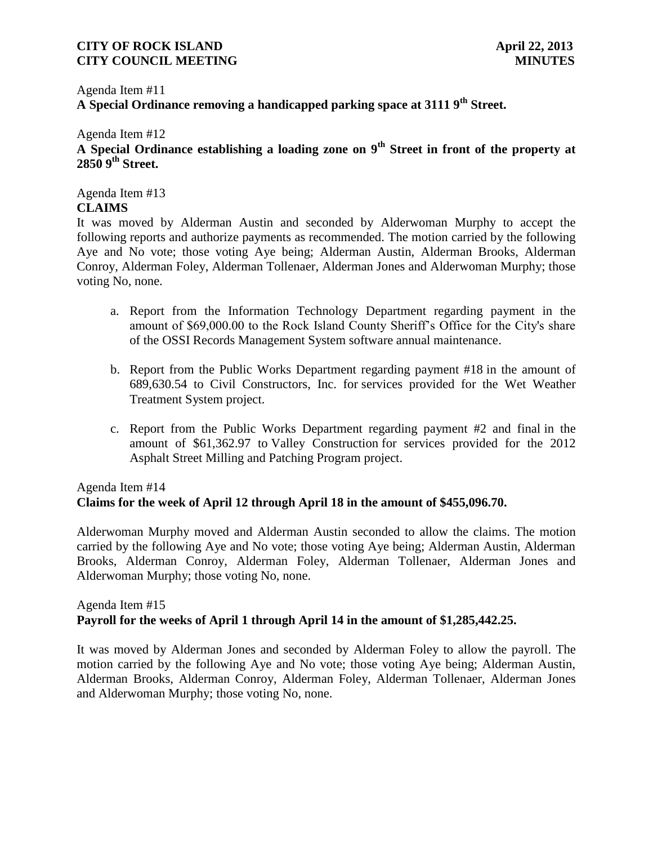# Agenda Item #11 **A Special Ordinance removing a handicapped parking space at 3111 9th Street.**

# Agenda Item #12 **A Special Ordinance establishing a loading zone on 9th Street in front of the property at 2850 9th Street.**

Agenda Item #13 **CLAIMS**

It was moved by Alderman Austin and seconded by Alderwoman Murphy to accept the following reports and authorize payments as recommended. The motion carried by the following Aye and No vote; those voting Aye being; Alderman Austin, Alderman Brooks, Alderman Conroy, Alderman Foley, Alderman Tollenaer, Alderman Jones and Alderwoman Murphy; those voting No, none.

- a. Report from the Information Technology Department regarding payment in the amount of \$69,000.00 to the Rock Island County Sheriff's Office for the City's share of the OSSI Records Management System software annual maintenance.
- b. Report from the Public Works Department regarding payment #18 in the amount of 689,630.54 to Civil Constructors, Inc. for services provided for the Wet Weather Treatment System project.
- c. Report from the Public Works Department regarding payment #2 and final in the amount of \$61,362.97 to Valley Construction for services provided for the 2012 Asphalt Street Milling and Patching Program project.

# Agenda Item #14 **Claims for the week of April 12 through April 18 in the amount of \$455,096.70.**

 Alderwoman Murphy moved and Alderman Austin seconded to allow the claims. The motion carried by the following Aye and No vote; those voting Aye being; Alderman Austin, Alderman Brooks, Alderman Conroy, Alderman Foley, Alderman Tollenaer, Alderman Jones and Alderwoman Murphy; those voting No, none.

# Agenda Item #15 **Payroll for the weeks of April 1 through April 14 in the amount of \$1,285,442.25.**

It was moved by Alderman Jones and seconded by Alderman Foley to allow the payroll. The motion carried by the following Aye and No vote; those voting Aye being; Alderman Austin, Alderman Brooks, Alderman Conroy, Alderman Foley, Alderman Tollenaer, Alderman Jones and Alderwoman Murphy; those voting No, none.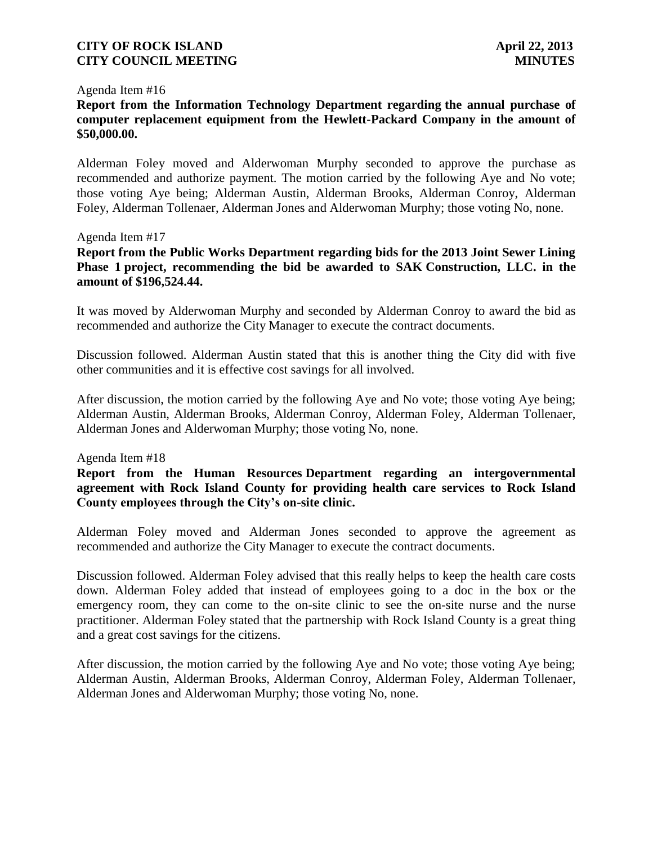#### Agenda Item #16

# **Report from the Information Technology Department regarding the annual purchase of computer replacement equipment from the Hewlett-Packard Company in the amount of \$50,000.00.**

Alderman Foley moved and Alderwoman Murphy seconded to approve the purchase as recommended and authorize payment. The motion carried by the following Aye and No vote; those voting Aye being; Alderman Austin, Alderman Brooks, Alderman Conroy, Alderman Foley, Alderman Tollenaer, Alderman Jones and Alderwoman Murphy; those voting No, none.

#### Agenda Item #17

**Report from the Public Works Department regarding bids for the 2013 Joint Sewer Lining Phase 1 project, recommending the bid be awarded to SAK Construction, LLC. in the amount of \$196,524.44.**

It was moved by Alderwoman Murphy and seconded by Alderman Conroy to award the bid as recommended and authorize the City Manager to execute the contract documents.

Discussion followed. Alderman Austin stated that this is another thing the City did with five other communities and it is effective cost savings for all involved.

After discussion, the motion carried by the following Aye and No vote; those voting Aye being; Alderman Austin, Alderman Brooks, Alderman Conroy, Alderman Foley, Alderman Tollenaer, Alderman Jones and Alderwoman Murphy; those voting No, none.

#### Agenda Item #18

# **Report from the Human Resources Department regarding an intergovernmental agreement with Rock Island County for providing health care services to Rock Island County employees through the City's on-site clinic.**

Alderman Foley moved and Alderman Jones seconded to approve the agreement as recommended and authorize the City Manager to execute the contract documents.

Discussion followed. Alderman Foley advised that this really helps to keep the health care costs down. Alderman Foley added that instead of employees going to a doc in the box or the emergency room, they can come to the on-site clinic to see the on-site nurse and the nurse practitioner. Alderman Foley stated that the partnership with Rock Island County is a great thing and a great cost savings for the citizens.

After discussion, the motion carried by the following Aye and No vote; those voting Aye being; Alderman Austin, Alderman Brooks, Alderman Conroy, Alderman Foley, Alderman Tollenaer, Alderman Jones and Alderwoman Murphy; those voting No, none.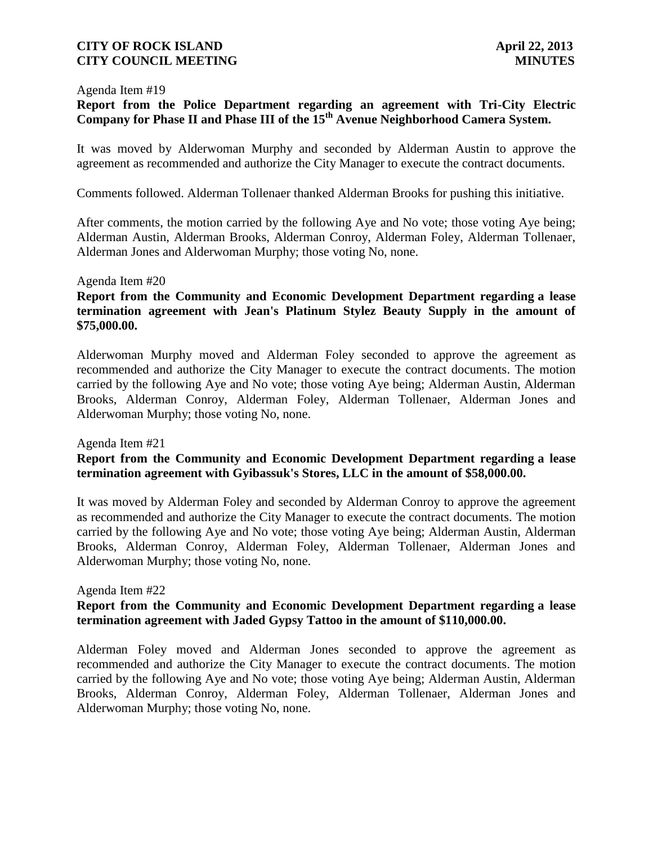#### Agenda Item #19

# **Report from the Police Department regarding an agreement with Tri-City Electric Company for Phase II and Phase III of the 15th Avenue Neighborhood Camera System.**

It was moved by Alderwoman Murphy and seconded by Alderman Austin to approve the agreement as recommended and authorize the City Manager to execute the contract documents.

Comments followed. Alderman Tollenaer thanked Alderman Brooks for pushing this initiative.

After comments, the motion carried by the following Aye and No vote; those voting Aye being; Alderman Austin, Alderman Brooks, Alderman Conroy, Alderman Foley, Alderman Tollenaer, Alderman Jones and Alderwoman Murphy; those voting No, none.

#### Agenda Item #20

# **Report from the Community and Economic Development Department regarding a lease termination agreement with Jean's Platinum Stylez Beauty Supply in the amount of \$75,000.00.**

Alderwoman Murphy moved and Alderman Foley seconded to approve the agreement as recommended and authorize the City Manager to execute the contract documents. The motion carried by the following Aye and No vote; those voting Aye being; Alderman Austin, Alderman Brooks, Alderman Conroy, Alderman Foley, Alderman Tollenaer, Alderman Jones and Alderwoman Murphy; those voting No, none.

#### Agenda Item #21

# **Report from the Community and Economic Development Department regarding a lease termination agreement with Gyibassuk's Stores, LLC in the amount of \$58,000.00.**

It was moved by Alderman Foley and seconded by Alderman Conroy to approve the agreement as recommended and authorize the City Manager to execute the contract documents. The motion carried by the following Aye and No vote; those voting Aye being; Alderman Austin, Alderman Brooks, Alderman Conroy, Alderman Foley, Alderman Tollenaer, Alderman Jones and Alderwoman Murphy; those voting No, none.

#### Agenda Item #22

# **Report from the Community and Economic Development Department regarding a lease termination agreement with Jaded Gypsy Tattoo in the amount of \$110,000.00.**

Alderman Foley moved and Alderman Jones seconded to approve the agreement as recommended and authorize the City Manager to execute the contract documents. The motion carried by the following Aye and No vote; those voting Aye being; Alderman Austin, Alderman Brooks, Alderman Conroy, Alderman Foley, Alderman Tollenaer, Alderman Jones and Alderwoman Murphy; those voting No, none.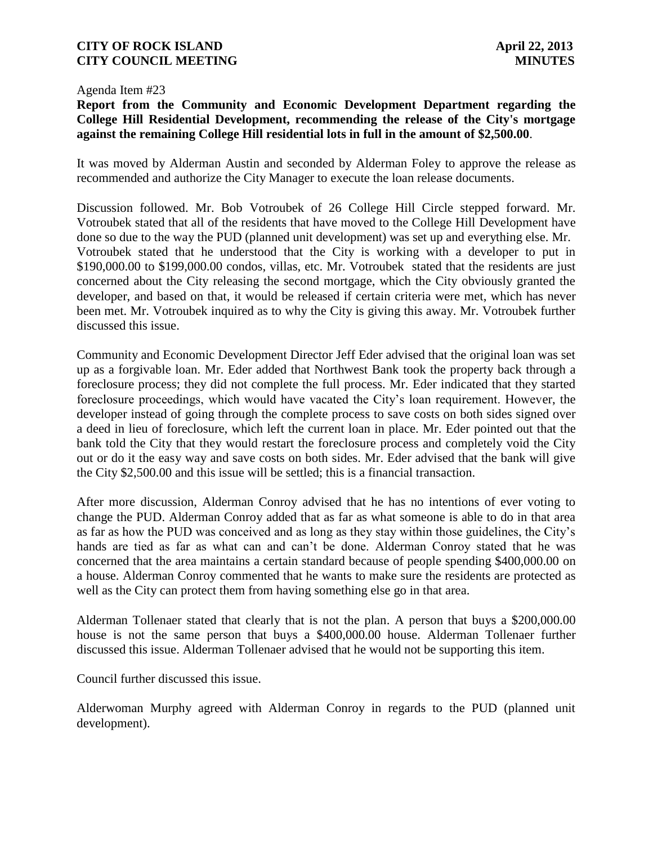#### Agenda Item #23

# **Report from the Community and Economic Development Department regarding the College Hill Residential Development, recommending the release of the City's mortgage against the remaining College Hill residential lots in full in the amount of \$2,500.00**.

It was moved by Alderman Austin and seconded by Alderman Foley to approve the release as recommended and authorize the City Manager to execute the loan release documents.

Discussion followed. Mr. Bob Votroubek of 26 College Hill Circle stepped forward. Mr. Votroubek stated that all of the residents that have moved to the College Hill Development have done so due to the way the PUD (planned unit development) was set up and everything else. Mr. Votroubek stated that he understood that the City is working with a developer to put in \$190,000.00 to \$199,000.00 condos, villas, etc. Mr. Votroubek stated that the residents are just concerned about the City releasing the second mortgage, which the City obviously granted the developer, and based on that, it would be released if certain criteria were met, which has never been met. Mr. Votroubek inquired as to why the City is giving this away. Mr. Votroubek further discussed this issue.

Community and Economic Development Director Jeff Eder advised that the original loan was set up as a forgivable loan. Mr. Eder added that Northwest Bank took the property back through a foreclosure process; they did not complete the full process. Mr. Eder indicated that they started foreclosure proceedings, which would have vacated the City's loan requirement. However, the developer instead of going through the complete process to save costs on both sides signed over a deed in lieu of foreclosure, which left the current loan in place. Mr. Eder pointed out that the bank told the City that they would restart the foreclosure process and completely void the City out or do it the easy way and save costs on both sides. Mr. Eder advised that the bank will give the City \$2,500.00 and this issue will be settled; this is a financial transaction.

After more discussion, Alderman Conroy advised that he has no intentions of ever voting to change the PUD. Alderman Conroy added that as far as what someone is able to do in that area as far as how the PUD was conceived and as long as they stay within those guidelines, the City's hands are tied as far as what can and can't be done. Alderman Conroy stated that he was concerned that the area maintains a certain standard because of people spending \$400,000.00 on a house. Alderman Conroy commented that he wants to make sure the residents are protected as well as the City can protect them from having something else go in that area.

Alderman Tollenaer stated that clearly that is not the plan. A person that buys a \$200,000.00 house is not the same person that buys a \$400,000.00 house. Alderman Tollenaer further discussed this issue. Alderman Tollenaer advised that he would not be supporting this item.

Council further discussed this issue.

Alderwoman Murphy agreed with Alderman Conroy in regards to the PUD (planned unit development).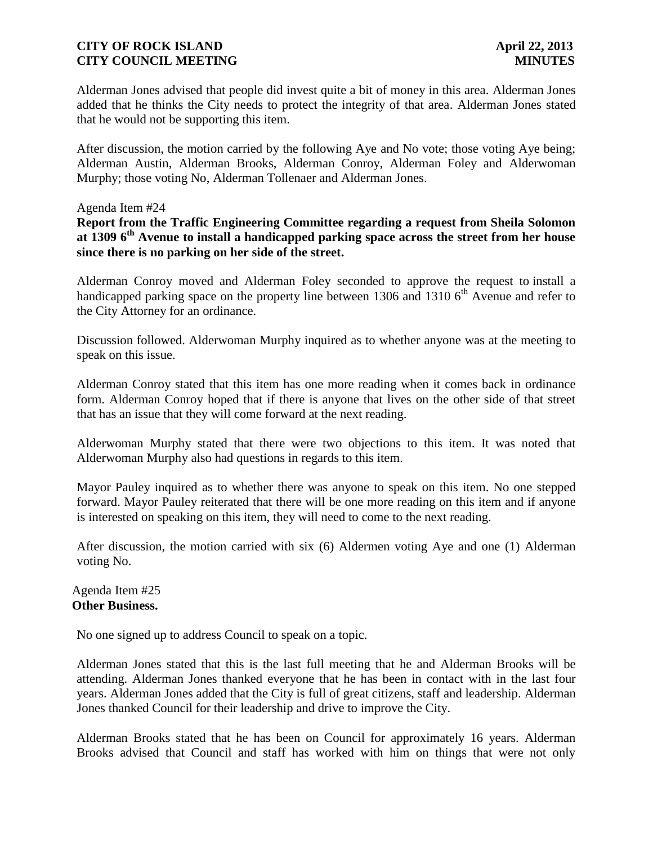Alderman Jones advised that people did invest quite a bit of money in this area. Alderman Jones added that he thinks the City needs to protect the integrity of that area. Alderman Jones stated that he would not be supporting this item.

After discussion, the motion carried by the following Aye and No vote; those voting Aye being; Alderman Austin, Alderman Brooks, Alderman Conroy, Alderman Foley and Alderwoman Murphy; those voting No, Alderman Tollenaer and Alderman Jones.

#### Agenda Item #24

**Report from the Traffic Engineering Committee regarding a request from Sheila Solomon at 1309 6th Avenue to install a handicapped parking space across the street from her house since there is no parking on her side of the street.**

Alderman Conroy moved and Alderman Foley seconded to approve the request to install a handicapped parking space on the property line between 1306 and 1310  $6<sup>th</sup>$  Avenue and refer to the City Attorney for an ordinance.

Discussion followed. Alderwoman Murphy inquired as to whether anyone was at the meeting to speak on this issue.

Alderman Conroy stated that this item has one more reading when it comes back in ordinance form. Alderman Conroy hoped that if there is anyone that lives on the other side of that street that has an issue that they will come forward at the next reading.

Alderwoman Murphy stated that there were two objections to this item. It was noted that Alderwoman Murphy also had questions in regards to this item.

Mayor Pauley inquired as to whether there was anyone to speak on this item. No one stepped forward. Mayor Pauley reiterated that there will be one more reading on this item and if anyone is interested on speaking on this item, they will need to come to the next reading.

After discussion, the motion carried with six (6) Aldermen voting Aye and one (1) Alderman voting No.

# Agenda Item #25 **Other Business.**

No one signed up to address Council to speak on a topic.

Alderman Jones stated that this is the last full meeting that he and Alderman Brooks will be attending. Alderman Jones thanked everyone that he has been in contact with in the last four years. Alderman Jones added that the City is full of great citizens, staff and leadership. Alderman Jones thanked Council for their leadership and drive to improve the City.

Alderman Brooks stated that he has been on Council for approximately 16 years. Alderman Brooks advised that Council and staff has worked with him on things that were not only